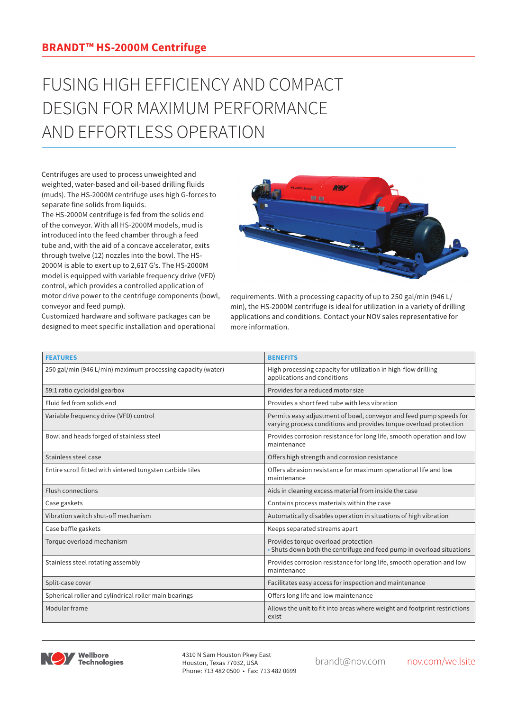## FUSING HIGH EFFICIENCY AND COMPACT DESIGN FOR MAXIMUM PERFORMANCE AND EFFORTLESS OPERATION

Centrifuges are used to process unweighted and weighted, water-based and oil-based drilling fluids (muds). The HS-2000M centrifuge uses high G-forces to separate fine solids from liquids.

The HS-2000M centrifuge is fed from the solids end of the conveyor. With all HS-2000M models, mud is introduced into the feed chamber through a feed tube and, with the aid of a concave accelerator, exits through twelve (12) nozzles into the bowl. The HS-2000M is able to exert up to 2,617 G's. The HS-2000M model is equipped with variable frequency drive (VFD) control, which provides a controlled application of motor drive power to the centrifuge components (bowl, conveyor and feed pump).



Customized hardware and software packages can be designed to meet specific installation and operational requirements. With a processing capacity of up to 250 gal/min (946 L/ min), the HS-2000M centrifuge is ideal for utilization in a variety of drilling applications and conditions. Contact your NOV sales representative for more information.

| <b>FEATURES</b>                                             | <b>BENEFITS</b>                                                                                                                          |
|-------------------------------------------------------------|------------------------------------------------------------------------------------------------------------------------------------------|
| 250 gal/min (946 L/min) maximum processing capacity (water) | High processing capacity for utilization in high-flow drilling<br>applications and conditions                                            |
| 59:1 ratio cycloidal gearbox                                | Provides for a reduced motor size                                                                                                        |
| Fluid fed from solids end                                   | Provides a short feed tube with less vibration                                                                                           |
| Variable frequency drive (VFD) control                      | Permits easy adjustment of bowl, conveyor and feed pump speeds for<br>varying process conditions and provides torque overload protection |
| Bowl and heads forged of stainless steel                    | Provides corrosion resistance for long life, smooth operation and low<br>maintenance                                                     |
| Stainless steel case                                        | Offers high strength and corrosion resistance                                                                                            |
| Entire scroll fitted with sintered tungsten carbide tiles   | Offers abrasion resistance for maximum operational life and low<br>maintenance                                                           |
| <b>Flush connections</b>                                    | Aids in cleaning excess material from inside the case                                                                                    |
| Case gaskets                                                | Contains process materials within the case                                                                                               |
| Vibration switch shut-off mechanism                         | Automatically disables operation in situations of high vibration                                                                         |
| Case baffle gaskets                                         | Keeps separated streams apart                                                                                                            |
| Torque overload mechanism                                   | Provides torque overload protection<br>• Shuts down both the centrifuge and feed pump in overload situations                             |
| Stainless steel rotating assembly                           | Provides corrosion resistance for long life, smooth operation and low<br>maintenance                                                     |
| Split-case cover                                            | Facilitates easy access for inspection and maintenance                                                                                   |
| Spherical roller and cylindrical roller main bearings       | Offers long life and low maintenance                                                                                                     |
| Modular frame                                               | Allows the unit to fit into areas where weight and footprint restrictions<br>exist                                                       |